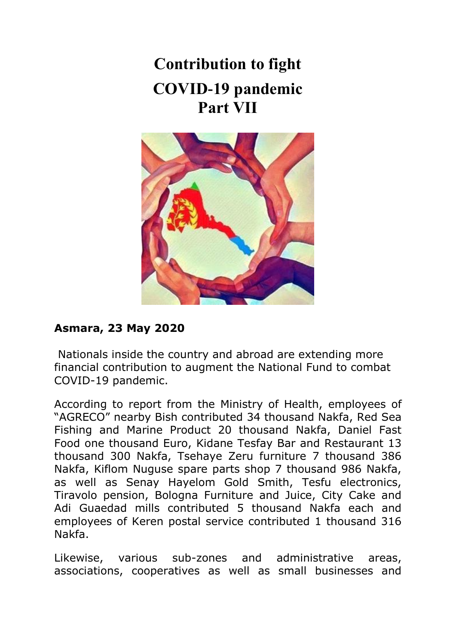# **Contribution to fight COVID-19 pandemic Part VII**



# **Asmara, 23 May 2020**

Nationals inside the country and abroad are extending more financial contribution to augment the National Fund to combat COVID-19 pandemic.

According to report from the Ministry of Health, employees of "AGRECO" nearby Bish contributed 34 thousand Nakfa, Red Sea Fishing and Marine Product 20 thousand Nakfa, Daniel Fast Food one thousand Euro, Kidane Tesfay Bar and Restaurant 13 thousand 300 Nakfa, Tsehaye Zeru furniture 7 thousand 386 Nakfa, Kiflom Nuguse spare parts shop 7 thousand 986 Nakfa, as well as Senay Hayelom Gold Smith, Tesfu electronics, Tiravolo pension, Bologna Furniture and Juice, City Cake and Adi Guaedad mills contributed 5 thousand Nakfa each and employees of Keren postal service contributed 1 thousand 316 Nakfa.

Likewise, various sub-zones and administrative areas, associations, cooperatives as well as small businesses and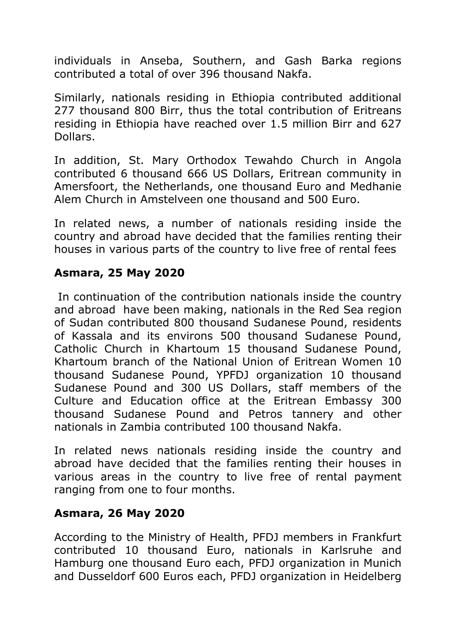individuals in Anseba, Southern, and Gash Barka regions contributed a total of over 396 thousand Nakfa.

Similarly, nationals residing in Ethiopia contributed additional 277 thousand 800 Birr, thus the total contribution of Eritreans residing in Ethiopia have reached over 1.5 million Birr and 627 Dollars.

In addition, St. Mary Orthodox Tewahdo Church in Angola contributed 6 thousand 666 US Dollars, Eritrean community in Amersfoort, the Netherlands, one thousand Euro and Medhanie Alem Church in Amstelveen one thousand and 500 Euro.

In related news, a number of nationals residing inside the country and abroad have decided that the families renting their houses in various parts of the country to live free of rental fees

## **Asmara, 25 May 2020**

In continuation of the contribution nationals inside the country and abroad have been making, nationals in the Red Sea region of Sudan contributed 800 thousand Sudanese Pound, residents of Kassala and its environs 500 thousand Sudanese Pound, Catholic Church in Khartoum 15 thousand Sudanese Pound, Khartoum branch of the National Union of Eritrean Women 10 thousand Sudanese Pound, YPFDJ organization 10 thousand Sudanese Pound and 300 US Dollars, staff members of the Culture and Education office at the Eritrean Embassy 300 thousand Sudanese Pound and Petros tannery and other nationals in Zambia contributed 100 thousand Nakfa.

In related news nationals residing inside the country and abroad have decided that the families renting their houses in various areas in the country to live free of rental payment ranging from one to four months.

## **Asmara, 26 May 2020**

According to the Ministry of Health, PFDJ members in Frankfurt contributed 10 thousand Euro, nationals in Karlsruhe and Hamburg one thousand Euro each, PFDJ organization in Munich and Dusseldorf 600 Euros each, PFDJ organization in Heidelberg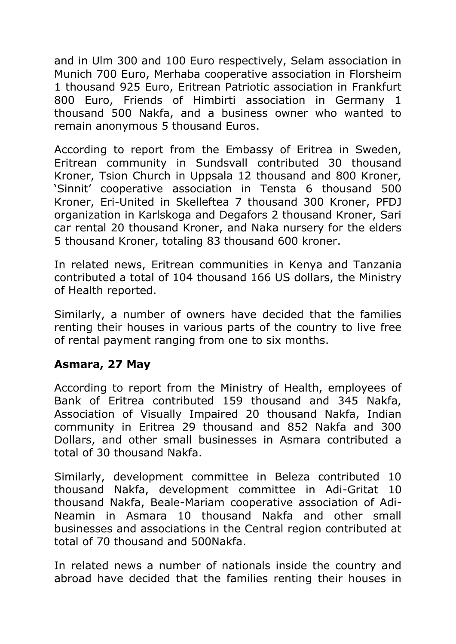and in Ulm 300 and 100 Euro respectively, Selam association in Munich 700 Euro, Merhaba cooperative association in Florsheim 1 thousand 925 Euro, Eritrean Patriotic association in Frankfurt 800 Euro, Friends of Himbirti association in Germany 1 thousand 500 Nakfa, and a business owner who wanted to remain anonymous 5 thousand Euros.

According to report from the Embassy of Eritrea in Sweden, Eritrean community in Sundsvall contributed 30 thousand Kroner, Tsion Church in Uppsala 12 thousand and 800 Kroner, 'Sinnit' cooperative association in Tensta 6 thousand 500 Kroner, Eri-United in Skelleftea 7 thousand 300 Kroner, PFDJ organization in Karlskoga and Degafors 2 thousand Kroner, Sari car rental 20 thousand Kroner, and Naka nursery for the elders 5 thousand Kroner, totaling 83 thousand 600 kroner.

In related news, Eritrean communities in Kenya and Tanzania contributed a total of 104 thousand 166 US dollars, the Ministry of Health reported.

Similarly, a number of owners have decided that the families renting their houses in various parts of the country to live free of rental payment ranging from one to six months.

## **Asmara, 27 May**

According to report from the Ministry of Health, employees of Bank of Eritrea contributed 159 thousand and 345 Nakfa, Association of Visually Impaired 20 thousand Nakfa, Indian community in Eritrea 29 thousand and 852 Nakfa and 300 Dollars, and other small businesses in Asmara contributed a total of 30 thousand Nakfa.

Similarly, development committee in Beleza contributed 10 thousand Nakfa, development committee in Adi-Gritat 10 thousand Nakfa, Beale-Mariam cooperative association of Adi-Neamin in Asmara 10 thousand Nakfa and other small businesses and associations in the Central region contributed at total of 70 thousand and 500Nakfa.

In related news a number of nationals inside the country and abroad have decided that the families renting their houses in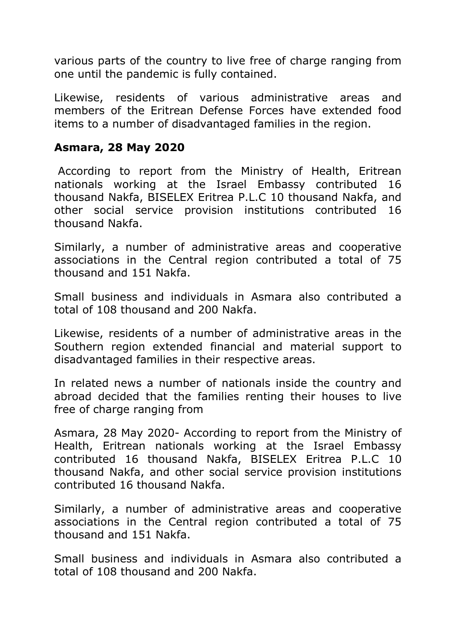various parts of the country to live free of charge ranging from one until the pandemic is fully contained.

Likewise, residents of various administrative areas and members of the Eritrean Defense Forces have extended food items to a number of disadvantaged families in the region.

#### **Asmara, 28 May 2020**

According to report from the Ministry of Health, Eritrean nationals working at the Israel Embassy contributed 16 thousand Nakfa, BISELEX Eritrea P.L.C 10 thousand Nakfa, and other social service provision institutions contributed 16 thousand Nakfa.

Similarly, a number of administrative areas and cooperative associations in the Central region contributed a total of 75 thousand and 151 Nakfa.

Small business and individuals in Asmara also contributed a total of 108 thousand and 200 Nakfa.

Likewise, residents of a number of administrative areas in the Southern region extended financial and material support to disadvantaged families in their respective areas.

In related news a number of nationals inside the country and abroad decided that the families renting their houses to live free of charge ranging from

Asmara, 28 May 2020- According to report from the Ministry of Health, Eritrean nationals working at the Israel Embassy contributed 16 thousand Nakfa, BISELEX Eritrea P.L.C 10 thousand Nakfa, and other social service provision institutions contributed 16 thousand Nakfa.

Similarly, a number of administrative areas and cooperative associations in the Central region contributed a total of 75 thousand and 151 Nakfa.

Small business and individuals in Asmara also contributed a total of 108 thousand and 200 Nakfa.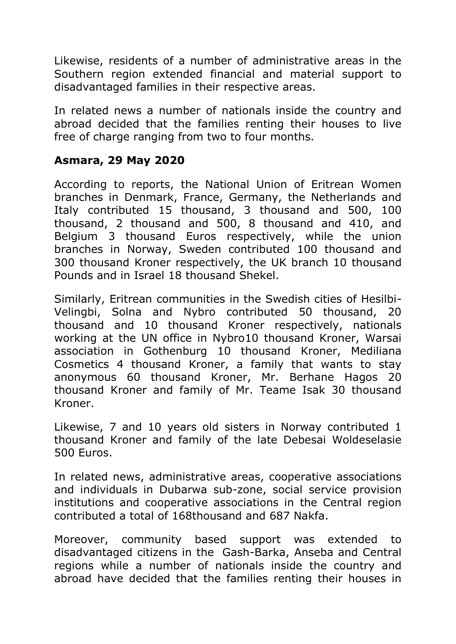Likewise, residents of a number of administrative areas in the Southern region extended financial and material support to disadvantaged families in their respective areas.

In related news a number of nationals inside the country and abroad decided that the families renting their houses to live free of charge ranging from two to four months.

# **Asmara, 29 May 2020**

According to reports, the National Union of Eritrean Women branches in Denmark, France, Germany, the Netherlands and Italy contributed 15 thousand, 3 thousand and 500, 100 thousand, 2 thousand and 500, 8 thousand and 410, and Belgium 3 thousand Euros respectively, while the union branches in Norway, Sweden contributed 100 thousand and 300 thousand Kroner respectively, the UK branch 10 thousand Pounds and in Israel 18 thousand Shekel.

Similarly, Eritrean communities in the Swedish cities of Hesilbi-Velingbi, Solna and Nybro contributed 50 thousand, 20 thousand and 10 thousand Kroner respectively, nationals working at the UN office in Nybro10 thousand Kroner, Warsai association in Gothenburg 10 thousand Kroner, Mediliana Cosmetics 4 thousand Kroner, a family that wants to stay anonymous 60 thousand Kroner, Mr. Berhane Hagos 20 thousand Kroner and family of Mr. Teame Isak 30 thousand Kroner.

Likewise, 7 and 10 years old sisters in Norway contributed 1 thousand Kroner and family of the late Debesai Woldeselasie 500 Euros.

In related news, administrative areas, cooperative associations and individuals in Dubarwa sub-zone, social service provision institutions and cooperative associations in the Central region contributed a total of 168thousand and 687 Nakfa.

Moreover, community based support was extended to disadvantaged citizens in the Gash-Barka, Anseba and Central regions while a number of nationals inside the country and abroad have decided that the families renting their houses in